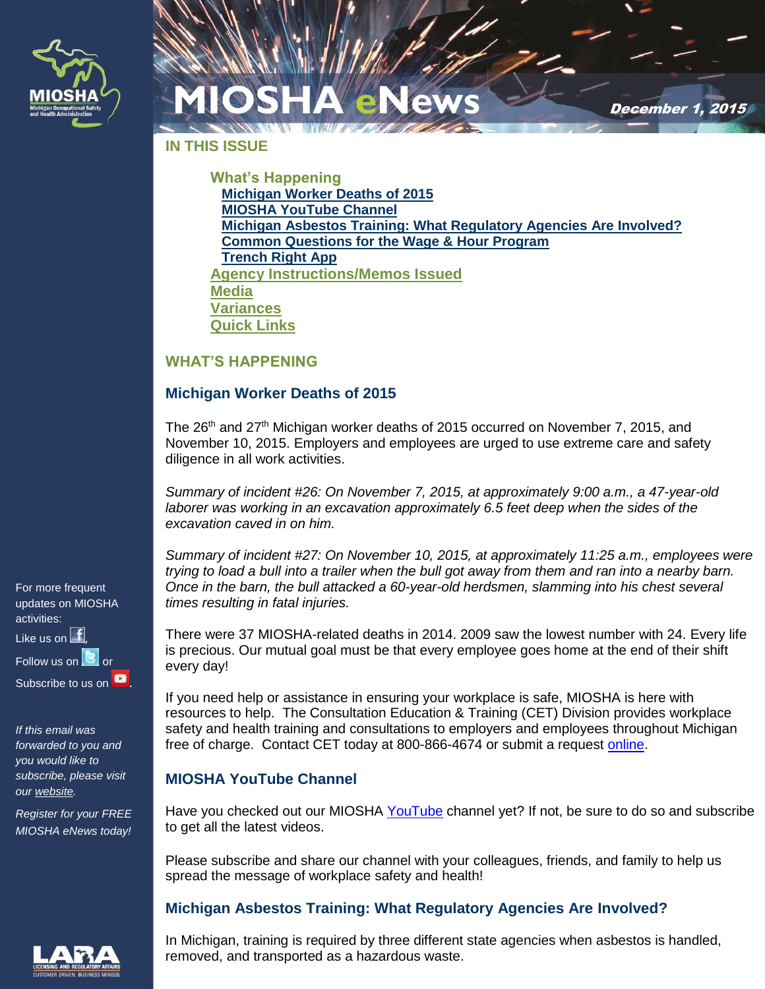

December 1, 2015

**IN THIS ISSUE**

**What's Happening [Michigan Worker Deaths](#page-0-0) of 2015 [MIOSHA YouTube](#page-0-1) Channel [Michigan Asbestos Training: What Regulatory Agencies Are Involved?](#page-0-2) [Common Questions for the Wage & Hour Program](#page-1-0) [Trench Right App](#page-2-0) [Agency Instructions/Memos Issued](#page-2-1) [Media](#page-2-2) [Variances](#page-2-3) [Quick Links](#page-2-4)**

#### **WHAT'S HAPPENING**

#### <span id="page-0-0"></span>**Michigan Worker Deaths of 2015**

The 26<sup>th</sup> and 27<sup>th</sup> Michigan worker deaths of 2015 occurred on November 7, 2015, and November 10, 2015. Employers and employees are urged to use extreme care and safety diligence in all work activities.

*Summary of incident #26: On November 7, 2015, at approximately 9:00 a.m., a 47-year-old laborer was working in an excavation approximately 6.5 feet deep when the sides of the excavation caved in on him.*

*Summary of incident #27: On November 10, 2015, at approximately 11:25 a.m., employees were trying to load a bull into a trailer when the bull got away from them and ran into a nearby barn. Once in the barn, the bull attacked a 60-year-old herdsmen, slamming into his chest several times resulting in fatal injuries.*

There were 37 MIOSHA-related deaths in 2014. 2009 saw the lowest number with 24. Every life is precious. Our mutual goal must be that every employee goes home at the end of their shift every day!

If you need help or assistance in ensuring your workplace is safe, MIOSHA is here with resources to help. The Consultation Education & Training (CET) Division provides workplace safety and health training and consultations to employers and employees throughout Michigan free of charge. Contact CET today at 800-866-4674 or submit a request [online.](http://www.michigan.gov/cetrca)

### <span id="page-0-1"></span>**MIOSHA YouTube Channel**

Have you checked out our MIOSHA [YouTube](https://www.youtube.com/channel/UCdEw21SrEj-0Y4wiJSFuXvA) channel yet? If not, be sure to do so and subscribe to get all the latest videos.

Please subscribe and share our channel with your colleagues, friends, and family to help us spread the message of workplace safety and health!

### <span id="page-0-2"></span>**Michigan Asbestos Training: What Regulatory Agencies Are Involved?**

In Michigan, training is required by three different state agencies when asbestos is handled, removed, and transported as a hazardous waste.

For more frequent updates on MIOSHA activities: Like us on  $\mathbf{f}$ Follow us o[n](http://www.twitter.com/MI_OSHA)  $\Box$  or Subscribe to us o[n](https://www.youtube.com/channel/UCdEw21SrEj-0Y4wiJSFuXvA) **D** 

*If this email was forwarded to you and you would like to subscribe, please visit our [website.](https://public.govdelivery.com/accounts/MILARA/subscriber/topics?qsp=MILARA_7)*

*Register for your FREE MIOSHA eNews today!*

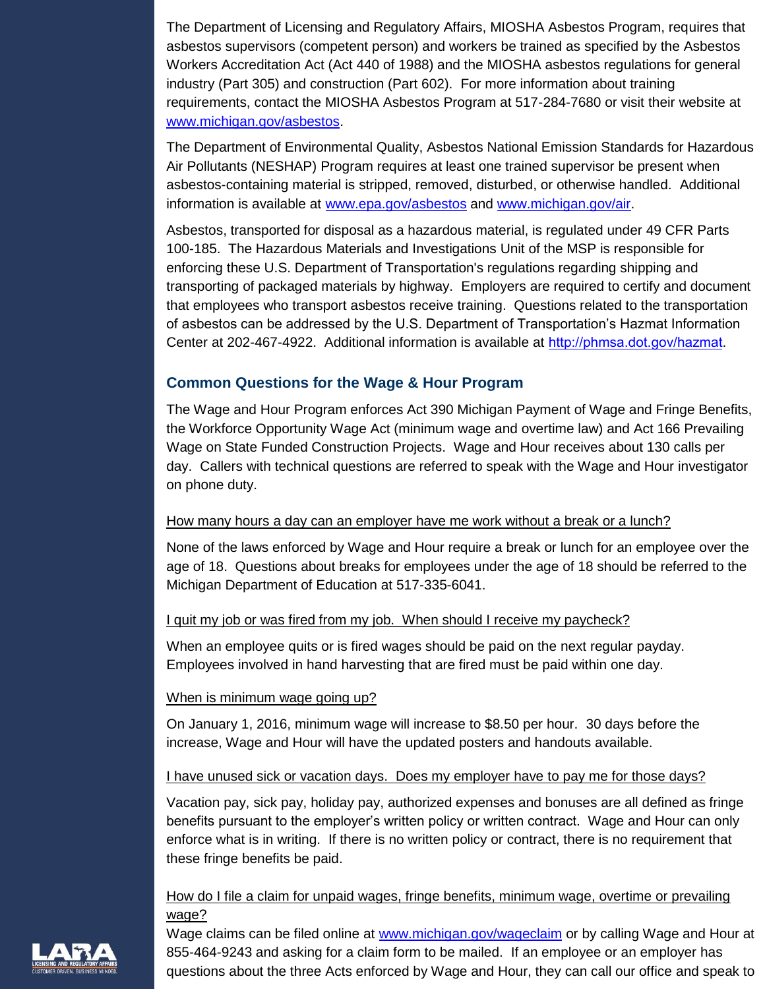The Department of Licensing and Regulatory Affairs, MIOSHA Asbestos Program, requires that asbestos supervisors (competent person) and workers be trained as specified by the Asbestos Workers Accreditation Act (Act 440 of 1988) and the MIOSHA asbestos regulations for general industry (Part 305) and construction (Part 602). For more information about training requirements, contact the MIOSHA Asbestos Program at 517-284-7680 or visit their website at [www.michigan.gov/asbestos.](http://www.michigan.gov/asbestos)

The Department of Environmental Quality, Asbestos National Emission Standards for Hazardous Air Pollutants (NESHAP) Program requires at least one trained supervisor be present when asbestos-containing material is stripped, removed, disturbed, or otherwise handled. Additional information is available at [www.epa.gov/asbestos](http://www.epa.gov/asbestos) and [www.michigan.gov/air.](http://www.michigan.gov/air)

Asbestos, transported for disposal as a hazardous material, is regulated under 49 CFR Parts 100-185. The Hazardous Materials and Investigations Unit of the MSP is responsible for enforcing these U.S. Department of Transportation's regulations regarding shipping and transporting of packaged materials by highway. Employers are required to certify and document that employees who transport asbestos receive training. Questions related to the transportation of asbestos can be addressed by the U.S. Department of Transportation's Hazmat Information Center at 202-467-4922. Additional information is available at <http://phmsa.dot.gov/hazmat>.

## <span id="page-1-0"></span>**Common Questions for the Wage & Hour Program**

The Wage and Hour Program enforces Act 390 Michigan Payment of Wage and Fringe Benefits, the Workforce Opportunity Wage Act (minimum wage and overtime law) and Act 166 Prevailing Wage on State Funded Construction Projects. Wage and Hour receives about 130 calls per day. Callers with technical questions are referred to speak with the Wage and Hour investigator on phone duty.

#### How many hours a day can an employer have me work without a break or a lunch?

None of the laws enforced by Wage and Hour require a break or lunch for an employee over the age of 18. Questions about breaks for employees under the age of 18 should be referred to the Michigan Department of Education at 517-335-6041.

#### I quit my job or was fired from my job. When should I receive my paycheck?

When an employee quits or is fired wages should be paid on the next regular payday. Employees involved in hand harvesting that are fired must be paid within one day.

#### When is minimum wage going up?

On January 1, 2016, minimum wage will increase to \$8.50 per hour. 30 days before the increase, Wage and Hour will have the updated posters and handouts available.

### I have unused sick or vacation days. Does my employer have to pay me for those days?

Vacation pay, sick pay, holiday pay, authorized expenses and bonuses are all defined as fringe benefits pursuant to the employer's written policy or written contract. Wage and Hour can only enforce what is in writing. If there is no written policy or contract, there is no requirement that these fringe benefits be paid.

### How do I file a claim for unpaid wages, fringe benefits, minimum wage, overtime or prevailing wage?

Wage claims can be filed online at [www.michigan.gov/wageclaim](http://www.michigan.gov/wageclaim) or by calling Wage and Hour at 855-464-9243 and asking for a claim form to be mailed. If an employee or an employer has questions about the three Acts enforced by Wage and Hour, they can call our office and speak to